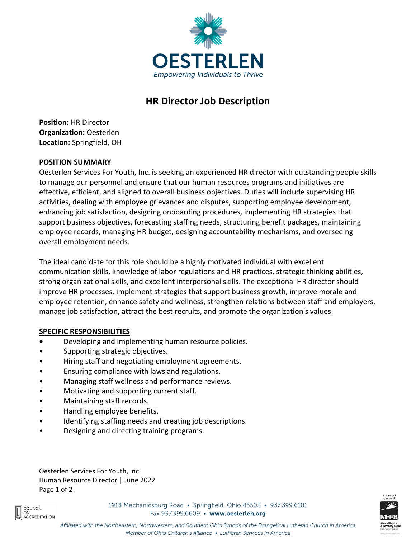

# **HR Director Job Description**

**Position:** HR Director **Organization:** Oesterlen **Location:** Springfield, OH

## **POSITION SUMMARY**

Oesterlen Services For Youth, Inc. is seeking an experienced HR director with outstanding people skills to manage our personnel and ensure that our human resources programs and initiatives are effective, efficient, and aligned to overall business objectives. Duties will include supervising HR activities, dealing with employee grievances and disputes, supporting employee development, enhancing job satisfaction, designing onboarding procedures, implementing HR strategies that support business objectives, forecasting staffing needs, structuring benefit packages, maintaining employee records, managing HR budget, designing accountability mechanisms, and overseeing overall employment needs.

The ideal candidate for this role should be a highly motivated individual with excellent communication skills, knowledge of labor regulations and HR practices, strategic thinking abilities, strong organizational skills, and excellent interpersonal skills. The exceptional HR director should improve HR processes, implement strategies that support business growth, improve morale and employee retention, enhance safety and wellness, strengthen relations between staff and employers, manage job satisfaction, attract the best recruits, and promote the organization's values.

## **SPECIFIC RESPONSIBILITIES**

- **•** Developing and implementing human resource policies.
- Supporting strategic objectives.
- Hiring staff and negotiating employment agreements.
- Ensuring compliance with laws and regulations.
- Managing staff wellness and performance reviews.
- Motivating and supporting current staff.
- Maintaining staff records.
- Handling employee benefits.
- Identifying staffing needs and creating job descriptions.
- Designing and directing training programs.

Oesterlen Services For Youth, Inc. Human Resource Director │ June 2022 Page 1 of 2



1918 Mechanicsburg Road · Springfield, Ohio 45503 · 937.399.6101 Fax 937.399.6609 • www.oesterlen.org